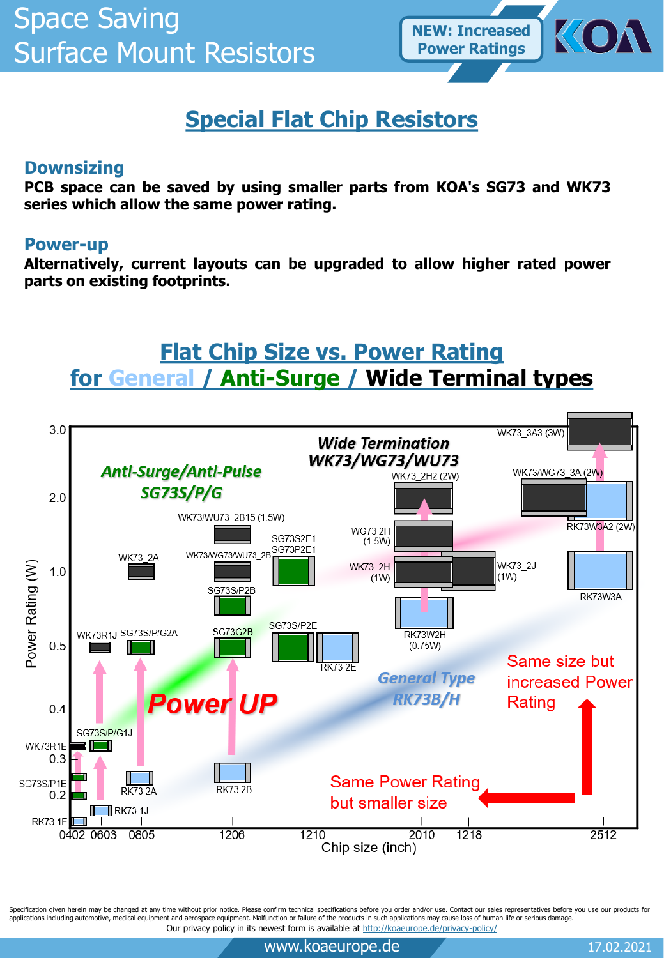

# **Special Flat Chip Resistors**

### **Downsizing**

**PCB space can be saved by using smaller parts from KOA's SG73 and WK73 series which allow the same power rating.**

### **Power-up**

**Alternatively, current layouts can be upgraded to allow higher rated power parts on existing footprints.**

# **Flat Chip Size vs. Power Rating for General / Anti-Surge / Wide Terminal types**



Specification given herein may be changed at any time without prior notice. Please confirm technical specifications before you order and/or use. Contact our sales representatives before you use our products for applications including automotive, medical equipment and aerospace equipment. Malfunction or failure of the products in such applications may cause loss of human life or serious damage. Our privacy policy in its newest form is available at<http://koaeurope.de/privacy-policy/>